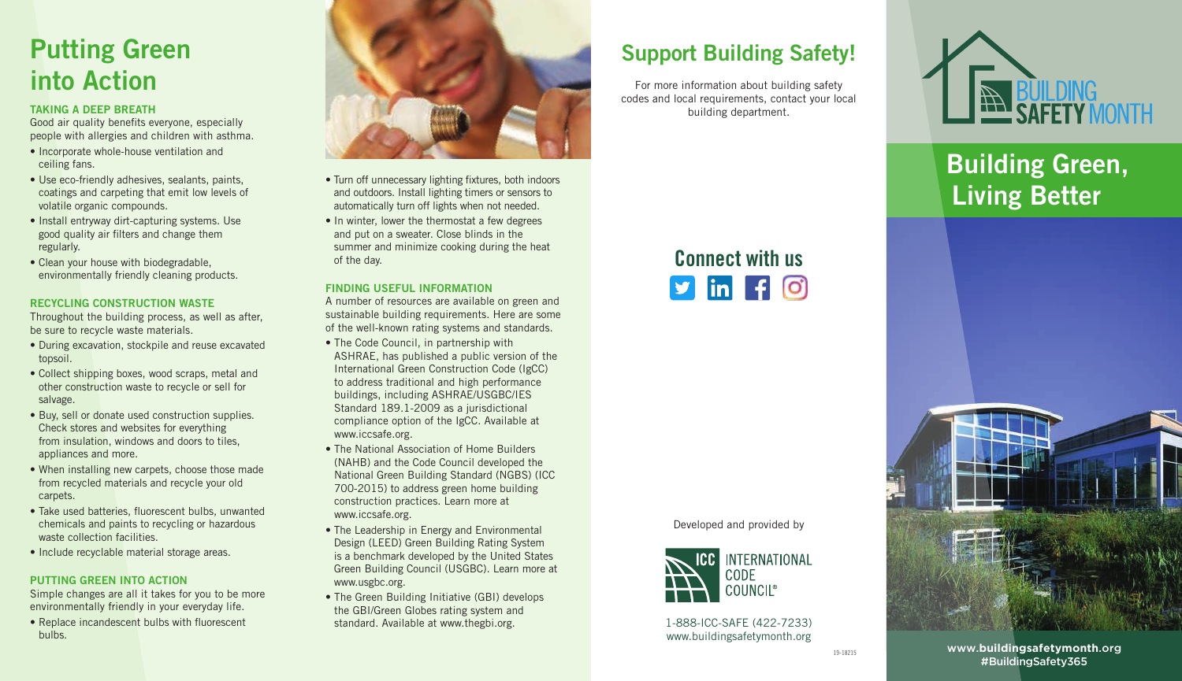## Putting Green into Action

#### TAKING A DEEP BREATH

Good air quality benefits everyone, especially people with allergies and children with asthma.

- Incorporate whole-house ventilation and ceiling fans.
- Use eco-friendly adhesives, sealants, paints, coatings and carpeting that emit low levels of volatile organic compounds.
- Install entryway dirt-capturing systems. Use good quality air filters and change them regularly.
- Clean your house with biodegradable, environmentally friendly cleaning products.

#### RECYCLING CONSTRUCTION WASTE

Throughout the building process, as well as after, be sure to recycle waste materials.

- During excavation, stockpile and reuse excavated topsoil.
- Collect shipping boxes, wood scraps, metal and other construction waste to recycle or sell for salvage.
- Buy, sell or donate used construction supplies. Check stores and websites for everything from insulation, windows and doors to tiles, appliances and more.
- When installing new carpets, choose those made from recycled materials and recycle your old carpets.
- Take used batteries, fluorescent bulbs, unwanted chemicals and paints to recycling or hazardous waste collection facilities.
- Include recyclable material storage areas.

#### PUTTING GREEN INTO ACTION

Simple changes are all it takes for you to be more environmentally friendly in your everyday life.

• Replace incandescent bulbs with fluorescent bulbs.



- Turn off unnecessary lighting fixtures, both indoors and outdoors. Install lighting timers or sensors to automatically turn off lights when not needed.
- In winter, lower the thermostat a few degrees and put on a sweater. Close blinds in the summer and minimize cooking during the heat of the day.

#### FINDING USEFUL INFORMATION

A number of resources are available on green and sustainable building requirements. Here are some of the well-known rating systems and standards.

- The Code Council, in partnership with ASHRAE, has published a public version of the International Green Construction Code (IgCC) to address traditional and high performance buildings, including ASHRAE/USGBC/IES Standard 189.1-2009 as a jurisdictional compliance option of the IgCC. Available at www.iccsafe.org.
- The National Association of Home Builders (NAHB) and the Code Council developed the National Green Building Standard (NGBS) (ICC 700-2015) to address green home building construction practices. Learn more at www.iccsafe.org.
- The Leadership in Energy and Environmental Design (LEED) Green Building Rating System is a benchmark developed by the United States Green Building Council (USGBC). Learn more at www.usgbc.org.
- The Green Building Initiative (GBI) develops the GBI/Green Globes rating system and standard. Available at www.thegbi.org.

### Support Building Safety!

For more information about building safety codes and local requirements, contact your local building department.



Developed and provided by



1-888-ICC-SAFE (422-7233) www.buildingsafetymonth.org



Building Green, Living Better



www.**buildingsafetymonth**.org #BuildingSafety365